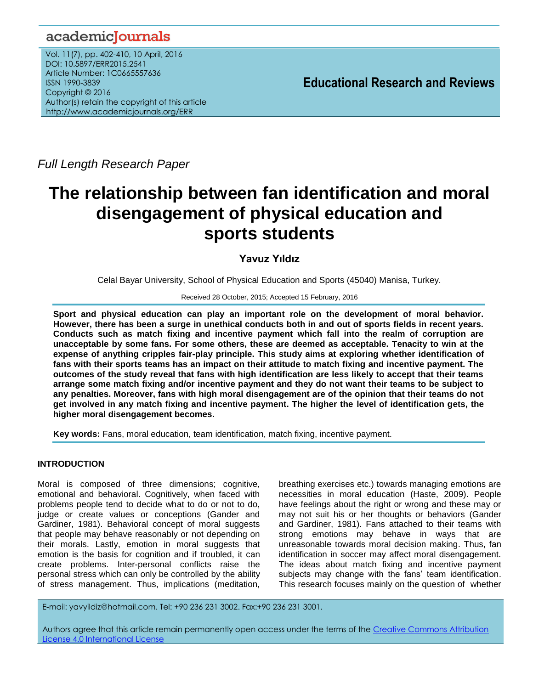# academicJournals

Vol. 11(7), pp. 402-410, 10 April, 2016 DOI: 10.5897/ERR2015.2541 Article Number: 1C0665557636 ISSN 1990-3839 Copyright © 2016 Author(s) retain the copyright of this article http://www.academicjournals.org/ERR

**Educational Research and Reviews**

*Full Length Research Paper*

# **The relationship between fan identification and moral disengagement of physical education and sports students**

# **Yavuz Yıldız**

Celal Bayar University, School of Physical Education and Sports (45040) Manisa, Turkey.

#### Received 28 October, 2015; Accepted 15 February, 2016

**Sport and physical education can play an important role on the development of moral behavior. However, there has been a surge in unethical conducts both in and out of sports fields in recent years. Conducts such as match fixing and incentive payment which fall into the realm of corruption are unacceptable by some fans. For some others, these are deemed as acceptable. Tenacity to win at the expense of anything cripples fair-play principle. This study aims at exploring whether identification of fans with their sports teams has an impact on their attitude to match fixing and incentive payment. The outcomes of the study reveal that fans with high identification are less likely to accept that their teams arrange some match fixing and/or incentive payment and they do not want their teams to be subject to any penalties. Moreover, fans with high moral disengagement are of the opinion that their teams do not get involved in any match fixing and incentive payment. The higher the level of identification gets, the higher moral disengagement becomes.**

**Key words:** Fans, moral education, team identification, match fixing, incentive payment.

# **INTRODUCTION**

Moral is composed of three dimensions; cognitive, emotional and behavioral. Cognitively, when faced with problems people tend to decide what to do or not to do, judge or create values or conceptions (Gander and Gardiner, 1981). Behavioral concept of moral suggests that people may behave reasonably or not depending on their morals. Lastly, emotion in moral suggests that emotion is the basis for cognition and if troubled, it can create problems. Inter-personal conflicts raise the personal stress which can only be controlled by the ability of stress management. Thus, implications (meditation,

breathing exercises etc.) towards managing emotions are necessities in moral education (Haste, 2009). People have feelings about the right or wrong and these may or may not suit his or her thoughts or behaviors (Gander and Gardiner, 1981). Fans attached to their teams with strong emotions may behave in ways that are unreasonable towards moral decision making. Thus, fan identification in soccer may affect moral disengagement. The ideas about match fixing and incentive payment subjects may change with the fans' team identification. This research focuses mainly on the question of whether

E-mail: yavyildiz@hotmail.com. Tel: +90 236 231 3002. Fax:+90 236 231 3001.

Authors agree that this article remain permanently open access under the terms of the Creative Commons Attribution [License 4.0 International License](file://192.168.1.24/reading/Arts%20and%20Education/ERR/2014/sept/read/Correction%20Pdf%201/ERR-17.04.14-1816/Publication/Creative%20Co)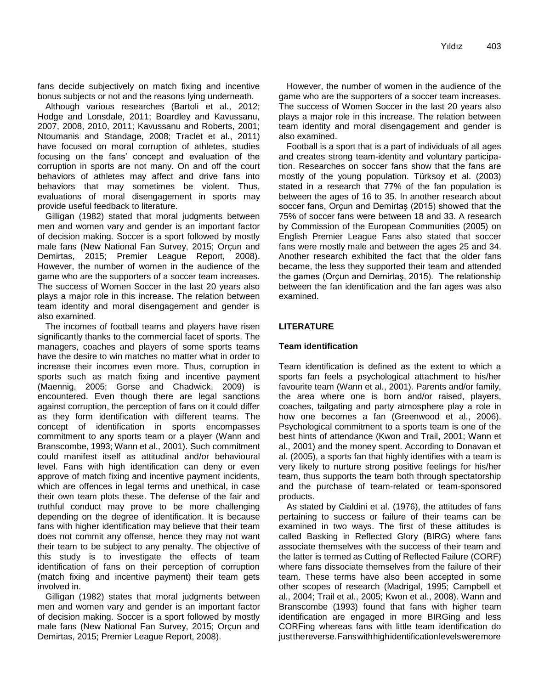fans decide subjectively on match fixing and incentive bonus subjects or not and the reasons lying underneath.

Although various researches (Bartoli et al., 2012; Hodge and Lonsdale, 2011; Boardley and Kavussanu, 2007, 2008, 2010, 2011; Kavussanu and Roberts, 2001; Ntoumanis and Standage, 2008; Traclet et al., 2011) have focused on moral corruption of athletes, studies focusing on the fans' concept and evaluation of the corruption in sports are not many. On and off the court behaviors of athletes may affect and drive fans into behaviors that may sometimes be violent. Thus, evaluations of moral disengagement in sports may provide useful feedback to literature.

Gilligan (1982) stated that moral judgments between men and women vary and gender is an important factor of decision making. Soccer is a sport followed by mostly male fans (New National Fan Survey, 2015; Orçun and Demirtas, 2015; Premier League Report, 2008). However, the number of women in the audience of the game who are the supporters of a soccer team increases. The success of Women Soccer in the last 20 years also plays a major role in this increase. The relation between team identity and moral disengagement and gender is also examined.

The incomes of football teams and players have risen significantly thanks to the commercial facet of sports. The managers, coaches and players of some sports teams have the desire to win matches no matter what in order to increase their incomes even more. Thus, corruption in sports such as match fixing and incentive payment (Maennig, 2005; Gorse and Chadwick, 2009) is encountered. Even though there are legal sanctions against corruption, the perception of fans on it could differ as they form identification with different teams. The concept of identification in sports encompasses commitment to any sports team or a player (Wann and Branscombe, 1993; Wann et al., 2001). Such commitment could manifest itself as attitudinal and/or behavioural level. Fans with high identification can deny or even approve of match fixing and incentive payment incidents, which are offences in legal terms and unethical, in case their own team plots these. The defense of the fair and truthful conduct may prove to be more challenging depending on the degree of identification. It is because fans with higher identification may believe that their team does not commit any offense, hence they may not want their team to be subject to any penalty. The objective of this study is to investigate the effects of team identification of fans on their perception of corruption (match fixing and incentive payment) their team gets involved in.

Gilligan (1982) states that moral judgments between men and women vary and gender is an important factor of decision making. Soccer is a sport followed by mostly male fans (New National Fan Survey, 2015; Orçun and Demirtas, 2015; Premier League Report, 2008).

However, the number of women in the audience of the game who are the supporters of a soccer team increases. The success of Women Soccer in the last 20 years also plays a major role in this increase. The relation between team identity and moral disengagement and gender is also examined.

Football is a sport that is a part of individuals of all ages and creates strong team-identity and voluntary participation. Researches on soccer fans show that the fans are mostly of the young population. Türksoy et al. (2003) stated in a research that 77% of the fan population is between the ages of 16 to 35. In another research about soccer fans, Orçun and Demirtaş (2015) showed that the 75% of soccer fans were between 18 and 33. A research by Commission of the European Communities (2005) on English Premier League Fans also stated that soccer fans were mostly male and between the ages 25 and 34. Another research exhibited the fact that the older fans became, the less they supported their team and attended the games (Orçun and Demirtaş, 2015). The relationship between the fan identification and the fan ages was also examined.

# **LITERATURE**

# **Team identification**

Team identification is defined as the extent to which a sports fan feels a psychological attachment to his/her favourite team (Wann et al., 2001). Parents and/or family, the area where one is born and/or raised, players, coaches, tailgating and party atmosphere play a role in how one becomes a fan (Greenwood et al., 2006). Psychological commitment to a sports team is one of the best hints of attendance (Kwon and Trail, 2001; Wann et al., 2001) and the money spent. According to Donavan et al. (2005), a sports fan that highly identifies with a team is very likely to nurture strong positive feelings for his/her team, thus supports the team both through spectatorship and the purchase of team-related or team-sponsored products.

As stated by Cialdini et al. (1976), the attitudes of fans pertaining to success or failure of their teams can be examined in two ways. The first of these attitudes is called Basking in Reflected Glory (BIRG) where fans associate themselves with the success of their team and the latter is termed as Cutting of Reflected Failure (CORF) where fans dissociate themselves from the failure of their team. These terms have also been accepted in some other scopes of research (Madrigal, 1995; Campbell et al., 2004; Trail et al., 2005; Kwon et al., 2008). Wann and Branscombe (1993) found that fans with higher team identification are engaged in more BIRGing and less CORFing whereas fans with little team identification do justthereverse. Fans with high identification levels weremore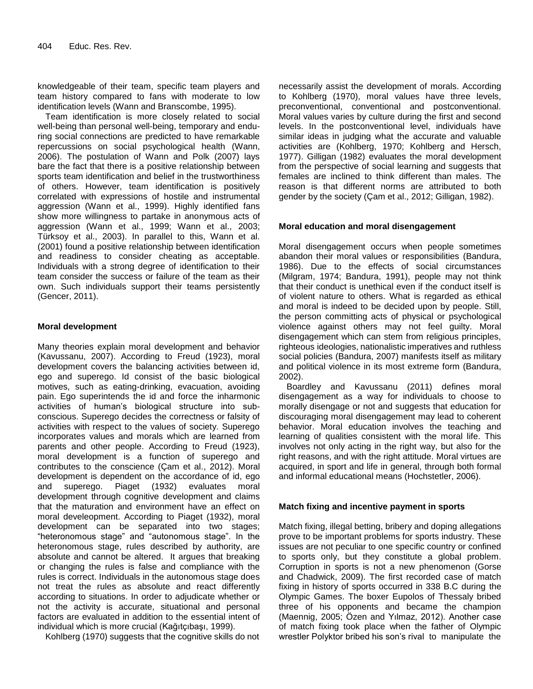knowledgeable of their team, specific team players and team history compared to fans with moderate to low identification levels (Wann and Branscombe, 1995).

Team identification is more closely related to social well-being than personal well-being, temporary and enduring social connections are predicted to have remarkable repercussions on social psychological health (Wann, 2006). The postulation of Wann and Polk (2007) lays bare the fact that there is a positive relationship between sports team identification and belief in the trustworthiness of others. However, team identification is positively correlated with expressions of hostile and instrumental aggression (Wann et al., 1999). Highly identified fans show more willingness to partake in anonymous acts of aggression (Wann et al., 1999; Wann et al., 2003; Türksoy et al., 2003). In parallel to this, Wann et al. (2001) found a positive relationship between identification and readiness to consider cheating as acceptable. Individuals with a strong degree of identification to their team consider the success or failure of the team as their own. Such individuals support their teams persistently (Gencer, 2011).

# **Moral development**

Many theories explain moral development and behavior (Kavussanu, 2007). According to Freud (1923), moral development covers the balancing activities between id, ego and superego. Id consist of the basic biological motives, such as eating-drinking, evacuation, avoiding pain. Ego superintends the id and force the inharmonic activities of human's biological structure into subconscious. Superego decides the correctness or falsity of activities with respect to the values of society. Superego incorporates values and morals which are learned from parents and other people. According to Freud (1923), moral development is a function of superego and contributes to the conscience (Çam et al., 2012). Moral development is dependent on the accordance of id, ego and superego. Piaget (1932) evaluates moral development through cognitive development and claims that the maturation and environment have an effect on moral develeopment. According to Piaget (1932), moral development can be separated into two stages; "heteronomous stage" and "autonomous stage". In the heteronomous stage, rules described by authority, are absolute and cannot be altered. It argues that breaking or changing the rules is false and compliance with the rules is correct. Individuals in the autonomous stage does not treat the rules as absolute and react differently according to situations. In order to adjudicate whether or not the activity is accurate, situational and personal factors are evaluated in addition to the essential intent of individual which is more crucial (Kağıtçıbaşı, 1999).

Kohlberg (1970) suggests that the cognitive skills do not

necessarily assist the development of morals. According to Kohlberg (1970), moral values have three levels, preconventional, conventional and postconventional. Moral values varies by culture during the first and second levels. In the postconventional level, individuals have similar ideas in judging what the accurate and valuable activities are (Kohlberg, 1970; Kohlberg and Hersch, 1977). Gilligan (1982) evaluates the moral development from the perspective of social learning and suggests that females are inclined to think different than males. The reason is that different norms are attributed to both gender by the society (Çam et al., 2012; Gilligan, 1982).

# **Moral education and moral disengagement**

Moral disengagement occurs when people sometimes abandon their moral values or responsibilities (Bandura, 1986). Due to the effects of social circumstances (Milgram, 1974; Bandura, 1991), people may not think that their conduct is unethical even if the conduct itself is of violent nature to others. What is regarded as ethical and moral is indeed to be decided upon by people. Still, the person committing acts of physical or psychological violence against others may not feel guilty. Moral disengagement which can stem from religious principles, righteous ideologies, nationalistic imperatives and ruthless social policies (Bandura, 2007) manifests itself as military and political violence in its most extreme form (Bandura, 2002).

Boardley and Kavussanu (2011) defines moral disengagement as a way for individuals to choose to morally disengage or not and suggests that education for discouraging moral disengagement may lead to coherent behavior. Moral education involves the teaching and learning of qualities consistent with the moral life. This involves not only acting in the right way, but also for the right reasons, and with the right attitude. Moral virtues are acquired, in sport and life in general, through both formal and informal educational means (Hochstetler, 2006).

# **Match fixing and incentive payment in sports**

Match fixing, illegal betting, bribery and doping allegations prove to be important problems for sports industry. These issues are not peculiar to one specific country or confined to sports only, but they constitute a global problem. Corruption in sports is not a new phenomenon (Gorse and Chadwick, 2009). The first recorded case of match fixing in history of sports occurred in 338 B.C during the Olympic Games. The boxer Eupolos of Thessaly bribed three of his opponents and became the champion (Maennig, 2005; Özen and Yılmaz, 2012). Another case of match fixing took place when the father of Olympic wrestler Polyktor bribed his son's rival to manipulate the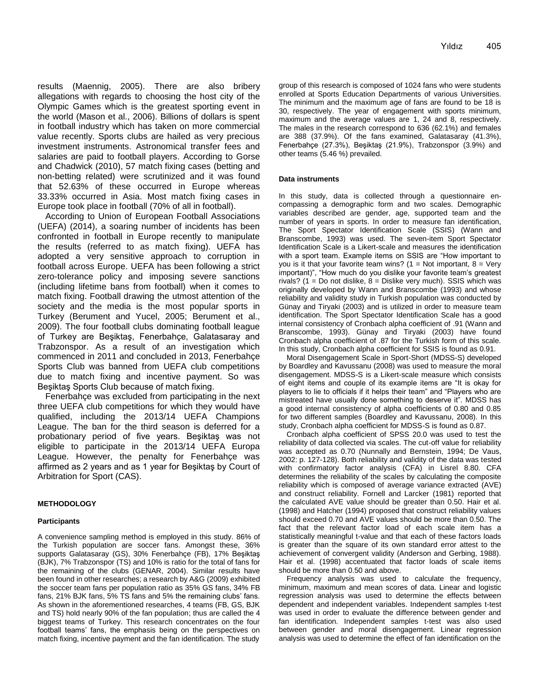results (Maennig, 2005). There are also bribery allegations with regards to choosing the host city of the Olympic Games which is the greatest sporting event in the world (Mason et al., 2006). Billions of dollars is spent in football industry which has taken on more commercial value recently. Sports clubs are hailed as very precious investment instruments. Astronomical transfer fees and salaries are paid to football players. According to Gorse and Chadwick (2010), 57 match fixing cases (betting and non-betting related) were scrutinized and it was found that 52.63% of these occurred in Europe whereas 33.33% occurred in Asia. Most match fixing cases in Europe took place in football (70% of all in football).

According to Union of European Football Associations (UEFA) (2014), a soaring number of incidents has been confronted in football in Europe recently to manipulate the results (referred to as match fixing). UEFA has adopted a very sensitive approach to corruption in football across Europe. UEFA has been following a strict zero-tolerance policy and imposing severe sanctions (including lifetime bans from football) when it comes to match fixing. Football drawing the utmost attention of the society and the media is the most popular sports in Turkey (Berument and Yucel, 2005; Berument et al., 2009). The four football clubs dominating football league of Turkey are Beşiktaş, Fenerbahçe, Galatasaray and Trabzonspor. As a result of an investigation which commenced in 2011 and concluded in 2013, Fenerbahçe Sports Club was banned from UEFA club competitions due to match fixing and incentive payment. So was Beşiktaş Sports Club because of match fixing.

Fenerbahçe was excluded from participating in the next three UEFA club competitions for which they would have qualified, including the 2013/14 UEFA Champions League. The ban for the third season is deferred for a probationary period of five years. Beşiktaş was not eligible to participate in the 2013/14 UEFA Europa League. However, the penalty for Fenerbahçe was affirmed as 2 years and as 1 year for Beşiktaş by Court of Arbitration for Sport (CAS).

#### **METHODOLOGY**

#### **Participants**

A convenience sampling method is employed in this study. 86% of the Turkish population are soccer fans. Amongst these, 36% supports Galatasaray (GS), 30% Fenerbahçe (FB), 17% Beşiktaş (BJK), 7% Trabzonspor (TS) and 10% is ratio for the total of fans for the remaining of the clubs (GENAR, 2004). Similar results have been found in other researches; a research by A&G (2009) exhibited the soccer team fans per population ratio as 35% GS fans, 34% FB fans, 21% BJK fans, 5% TS fans and 5% the remaining clubs' fans. As shown in the aforementioned researches, 4 teams (FB, GS, BJK and TS) hold nearly 90% of the fan population; thus are called the 4 biggest teams of Turkey. This research concentrates on the four football teams' fans, the emphasis being on the perspectives on match fixing, incentive payment and the fan identification. The study group of this research is composed of 1024 fans who were students enrolled at Sports Education Departments of various Universities. The minimum and the maximum age of fans are found to be 18 is 30, respectively. The year of engagement with sports minimum, maximum and the average values are 1, 24 and 8, respectively. The males in the research correspond to 636 (62.1%) and females are 388 (37.9%). Of the fans examined, Galatasaray (41.3%), Fenerbahçe (27.3%), Beşiktaş (21.9%), Trabzonspor (3.9%) and other teams (5.46 %) prevailed.

#### **Data instruments**

In this study, data is collected through a questionnaire encompassing a demographic form and two scales. Demographic variables described are gender, age, supported team and the number of years in sports. In order to measure fan identification, The Sport Spectator Identification Scale (SSIS) (Wann and Branscombe, 1993) was used. The seven-item Sport Spectator Identification Scale is a Likert-scale and measures the identification with a sport team. Example items on SSIS are "How important to you is it that your favorite team wins? ( $1 = Not$  important,  $8 = Very$ important)", "How much do you dislike your favorite team's greatest rivals? (1 = Do not dislike,  $8$  = Dislike very much). SSIS which was originally developed by Wann and Branscombe (1993) and whose reliability and validity study in Turkish population was conducted by Günay and Tiryaki (2003) and is utilized in order to measure team identification. The Sport Spectator Identification Scale has a good internal consistency of Cronbach alpha coefficient of .91 (Wann and Branscombe, 1993). Günay and Tiryaki (2003) have found Cronbach alpha coefficient of .87 for the Turkish form of this scale. In this study, Cronbach alpha coefficient for SSIS is found as 0.91.

Moral Disengagement Scale in Sport-Short (MDSS-S) developed by Boardley and Kavussanu (2008) was used to measure the moral disengagement. MDSS-S is a Likert-scale measure which consists of eight items and couple of its example items are "It is okay for players to lie to officials if it helps their team" and "Players who are mistreated have usually done something to deserve it". MDSS has a good internal consistency of alpha coefficients of 0.80 and 0.85 for two different samples (Boardley and Kavussanu, 2008). In this study, Cronbach alpha coefficient for MDSS-S is found as 0.87.

Cronbach alpha coefficient of SPSS 20.0 was used to test the reliability of data collected via scales. The cut-off value for reliability was accepted as 0.70 (Nunnally and Bernstein, 1994; De Vaus, 2002: p. 127-128). Both reliability and validity of the data was tested with confirmatory factor analysis (CFA) in Lisrel 8.80. CFA determines the reliability of the scales by calculating the composite reliability which is composed of average variance extracted (AVE) and construct reliability. Fornell and Larcker (1981) reported that the calculated AVE value should be greater than 0.50. Hair et al. (1998) and Hatcher (1994) proposed that construct reliability values should exceed 0.70 and AVE values should be more than 0.50. The fact that the relevant factor load of each scale item has a statistically meaningful t-value and that each of these factors loads is greater than the square of its own standard error attest to the achievement of convergent validity (Anderson and Gerbing, 1988). Hair et al. (1998) accentuated that factor loads of scale items should be more than 0.50 and above.

Frequency analysis was used to calculate the frequency, minimum, maximum and mean scores of data. Linear and logistic regression analysis was used to determine the effects between dependent and independent variables. Independent samples t-test was used in order to evaluate the difference between gender and fan identification. Independent samples t-test was also used between gender and moral disengagement. Linear regression analysis was used to determine the effect of fan identification on the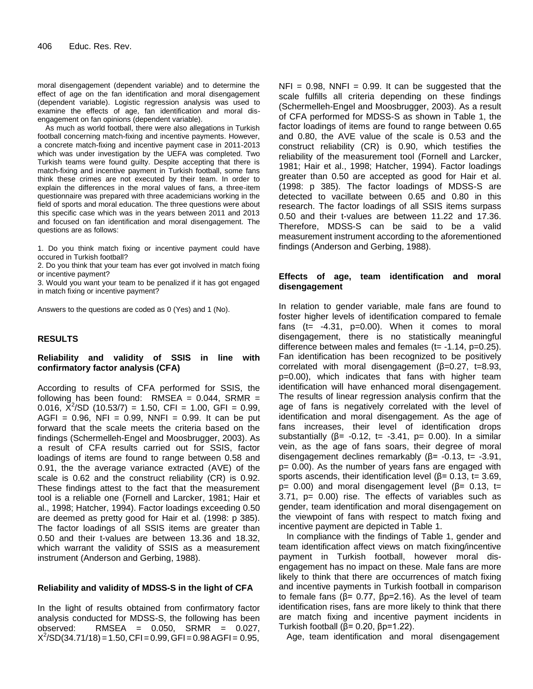moral disengagement (dependent variable) and to determine the effect of age on the fan identification and moral disengagement (dependent variable). Logistic regression analysis was used to examine the effects of age, fan identification and moral disengagement on fan opinions (dependent variable).

As much as world football, there were also allegations in Turkish football concerning match-fixing and incentive payments. However, a concrete match-fixing and incentive payment case in 2011-2013 which was under investigation by the UEFA was completed. Two Turkish teams were found guilty. Despite accepting that there is match-fixing and incentive payment in Turkish football, some fans think these crimes are not executed by their team. In order to explain the differences in the moral values of fans, a three-item questionnaire was prepared with three academicians working in the field of sports and moral education. The three questions were about this specific case which was in the years between 2011 and 2013 and focused on fan identification and moral disengagement. The questions are as follows:

1. Do you think match fixing or incentive payment could have occured in Turkish football?

2. Do you think that your team has ever got involved in match fixing or incentive payment?

3. Would you want your team to be penalized if it has got engaged in match fixing or incentive payment?

Answers to the questions are coded as 0 (Yes) and 1 (No).

## **RESULTS**

# **Reliability and validity of SSIS in line with confirmatory factor analysis (CFA)**

According to results of CFA performed for SSIS, the following has been found: RMSEA =  $0.044$ , SRMR = 0.016,  $\bar{X}^2$ /SD (10.53/7) = 1.50, CFI = 1.00, GFI = 0.99, AGFI =  $0.96$ . NFI =  $0.99$ . NNFI =  $0.99$ . It can be put forward that the scale meets the criteria based on the findings (Schermelleh-Engel and Moosbrugger, 2003). As a result of CFA results carried out for SSIS, factor loadings of items are found to range between 0.58 and 0.91, the the average variance extracted (AVE) of the scale is 0.62 and the construct reliability (CR) is 0.92. These findings attest to the fact that the measurement tool is a reliable one (Fornell and Larcker, 1981; Hair et al., 1998; Hatcher, 1994). Factor loadings exceeding 0.50 are deemed as pretty good for Hair et al. (1998: p 385). The factor loadings of all SSIS items are greater than 0.50 and their t-values are between 13.36 and 18.32, which warrant the validity of SSIS as a measurement instrument (Anderson and Gerbing, 1988).

## **Reliability and validity of MDSS-S in the light of CFA**

In the light of results obtained from confirmatory factor analysis conducted for MDSS-S, the following has been observed: RMSEA = 0.050, SRMR = 0.027,  $X^2$ /SD(34.71/18) = 1.50, CFI = 0.99, GFI = 0.98 AGFI = 0.95,

 $NFI = 0.98$ ,  $NNFI = 0.99$ . It can be suggested that the scale fulfills all criteria depending on these findings (Schermelleh-Engel and Moosbrugger, 2003). As a result of CFA performed for MDSS-S as shown in Table 1, the factor loadings of items are found to range between 0.65 and 0.80, the AVE value of the scale is 0.53 and the construct reliability (CR) is 0.90, which testifies the reliability of the measurement tool (Fornell and Larcker, 1981; Hair et al., 1998; Hatcher, 1994). Factor loadings greater than 0.50 are accepted as good for Hair et al. (1998: p 385). The factor loadings of MDSS-S are detected to vacillate between 0.65 and 0.80 in this research. The factor loadings of all SSIS items surpass 0.50 and their t-values are between 11.22 and 17.36. Therefore, MDSS-S can be said to be a valid measurement instrument according to the aforementioned findings (Anderson and Gerbing, 1988).

# **Effects of age, team identification and moral disengagement**

In relation to gender variable, male fans are found to foster higher levels of identification compared to female fans (t=  $-4.31$ , p=0.00). When it comes to moral disengagement, there is no statistically meaningful difference between males and females  $(t= -1.14, p=0.25)$ . Fan identification has been recognized to be positively correlated with moral disengagement (β=0.27, t=8.93, p=0.00), which indicates that fans with higher team identification will have enhanced moral disengagement. The results of linear regression analysis confirm that the age of fans is negatively correlated with the level of identification and moral disengagement. As the age of fans increases, their level of identification drops substantially ( $\beta$ = -0.12, t= -3.41, p= 0.00). In a similar vein, as the age of fans soars, their degree of moral disengagement declines remarkably (β= -0.13, t= -3.91, p= 0.00). As the number of years fans are engaged with sports ascends, their identification level ( $\beta$ = 0.13, t= 3.69, p= 0.00) and moral disengagement level ( $β$ = 0.13, t= 3.71, p= 0.00) rise. The effects of variables such as gender, team identification and moral disengagement on the viewpoint of fans with respect to match fixing and incentive payment are depicted in Table 1.

In compliance with the findings of Table 1, gender and team identification affect views on match fixing/incentive payment in Turkish football, however moral disengagement has no impact on these. Male fans are more likely to think that there are occurrences of match fixing and incentive payments in Turkish football in comparison to female fans ( $β = 0.77$ ,  $βp=2.16$ ). As the level of team identification rises, fans are more likely to think that there are match fixing and incentive payment incidents in Turkish football (β= 0.20, βp=1.22).

Age, team identification and moral disengagement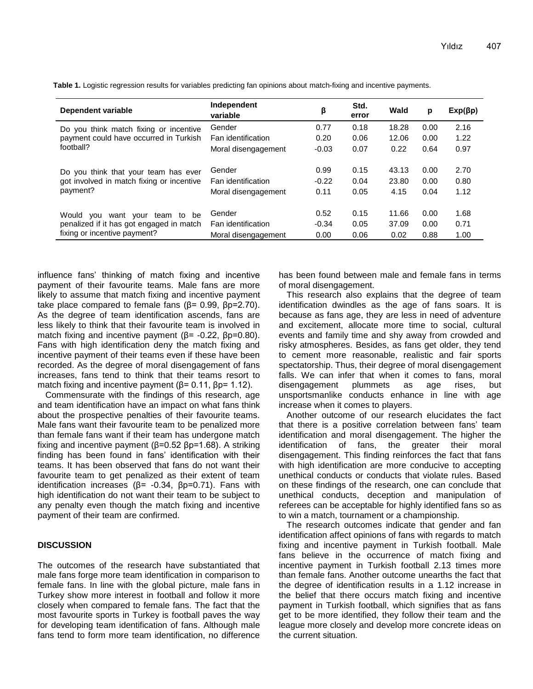| Dependent variable                                                                                                  | Independent<br>variable | β       | Std.<br>error | Wald  | p    | $Exp(\beta p)$ |
|---------------------------------------------------------------------------------------------------------------------|-------------------------|---------|---------------|-------|------|----------------|
| Do you think match fixing or incentive<br>payment could have occurred in Turkish<br>football?                       | Gender                  | 0.77    | 0.18          | 18.28 | 0.00 | 2.16           |
|                                                                                                                     | Fan identification      | 0.20    | 0.06          | 12.06 | 0.00 | 1.22           |
|                                                                                                                     | Moral disengagement     | $-0.03$ | 0.07          | 0.22  | 0.64 | 0.97           |
| Do you think that your team has ever<br>got involved in match fixing or incentive<br>payment?                       | Gender                  | 0.99    | 0.15          | 43.13 | 0.00 | 2.70           |
|                                                                                                                     | Fan identification      | $-0.22$ | 0.04          | 23.80 | 0.00 | 0.80           |
|                                                                                                                     | Moral disengagement     | 0.11    | 0.05          | 4.15  | 0.04 | 1.12           |
| Would<br>team to be<br>vou<br>want your<br>penalized if it has got engaged in match<br>fixing or incentive payment? | Gender                  | 0.52    | 0.15          | 11.66 | 0.00 | 1.68           |
|                                                                                                                     | Fan identification      | $-0.34$ | 0.05          | 37.09 | 0.00 | 0.71           |
|                                                                                                                     | Moral disengagement     | 0.00    | 0.06          | 0.02  | 0.88 | 1.00           |

**Table 1.** Logistic regression results for variables predicting fan opinions about match-fixing and incentive payments.

influence fans' thinking of match fixing and incentive payment of their favourite teams. Male fans are more likely to assume that match fixing and incentive payment take place compared to female fans ( $β = 0.99$ ,  $βp = 2.70$ ). As the degree of team identification ascends, fans are less likely to think that their favourite team is involved in match fixing and incentive payment ( $\beta$ = -0.22,  $\beta$ p=0.80). Fans with high identification deny the match fixing and incentive payment of their teams even if these have been recorded. As the degree of moral disengagement of fans increases, fans tend to think that their teams resort to match fixing and incentive payment ( $\beta$ = 0.11,  $\beta$ p= 1.12).

Commensurate with the findings of this research, age and team identification have an impact on what fans think about the prospective penalties of their favourite teams. Male fans want their favourite team to be penalized more than female fans want if their team has undergone match fixing and incentive payment (β=0.52 βp=1.68). A striking finding has been found in fans' identification with their teams. It has been observed that fans do not want their favourite team to get penalized as their extent of team identification increases ( $β = -0.34$ ,  $βp=0.71$ ). Fans with high identification do not want their team to be subject to any penalty even though the match fixing and incentive payment of their team are confirmed.

# **DISCUSSION**

The outcomes of the research have substantiated that male fans forge more team identification in comparison to female fans. In line with the global picture, male fans in Turkey show more interest in football and follow it more closely when compared to female fans. The fact that the most favourite sports in Turkey is football paves the way for developing team identification of fans. Although male fans tend to form more team identification, no difference

has been found between male and female fans in terms of moral disengagement.

This research also explains that the degree of team identification dwindles as the age of fans soars. It is because as fans age, they are less in need of adventure and excitement, allocate more time to social, cultural events and family time and shy away from crowded and risky atmospheres. Besides, as fans get older, they tend to cement more reasonable, realistic and fair sports spectatorship. Thus, their degree of moral disengagement falls. We can infer that when it comes to fans, moral disengagement plummets as age rises, but unsportsmanlike conducts enhance in line with age increase when it comes to players.

Another outcome of our research elucidates the fact that there is a positive correlation between fans' team identification and moral disengagement. The higher the identification of fans, the greater their moral disengagement. This finding reinforces the fact that fans with high identification are more conducive to accepting unethical conducts or conducts that violate rules. Based on these findings of the research, one can conclude that unethical conducts, deception and manipulation of referees can be acceptable for highly identified fans so as to win a match, tournament or a championship.

The research outcomes indicate that gender and fan identification affect opinions of fans with regards to match fixing and incentive payment in Turkish football. Male fans believe in the occurrence of match fixing and incentive payment in Turkish football 2.13 times more than female fans. Another outcome unearths the fact that the degree of identification results in a 1.12 increase in the belief that there occurs match fixing and incentive payment in Turkish football, which signifies that as fans get to be more identified, they follow their team and the league more closely and develop more concrete ideas on the current situation.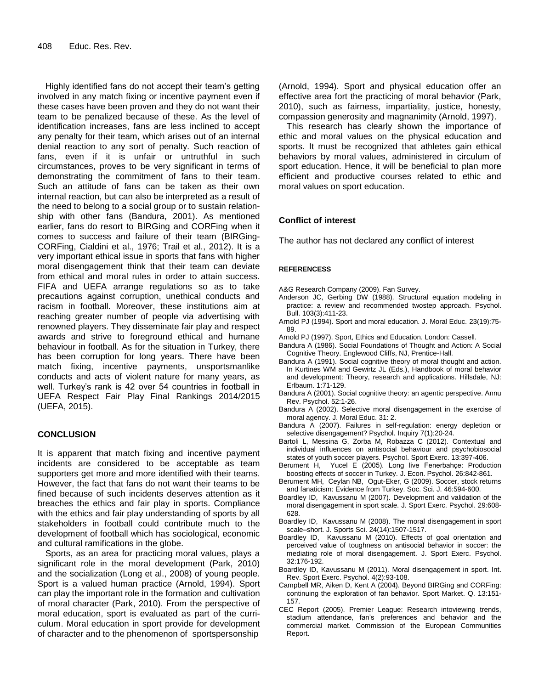Highly identified fans do not accept their team's getting involved in any match fixing or incentive payment even if these cases have been proven and they do not want their team to be penalized because of these. As the level of identification increases, fans are less inclined to accept any penalty for their team, which arises out of an internal denial reaction to any sort of penalty. Such reaction of fans, even if it is unfair or untruthful in such circumstances, proves to be very significant in terms of demonstrating the commitment of fans to their team. Such an attitude of fans can be taken as their own internal reaction, but can also be interpreted as a result of the need to belong to a social group or to sustain relationship with other fans (Bandura, 2001). As mentioned earlier, fans do resort to BIRGing and CORFing when it comes to success and failure of their team (BIRGing-CORFing, Cialdini et al., 1976; Trail et al., 2012). It is a very important ethical issue in sports that fans with higher moral disengagement think that their team can deviate from ethical and moral rules in order to attain success. FIFA and UEFA arrange regulations so as to take precautions against corruption, unethical conducts and racism in football. Moreover, these institutions aim at reaching greater number of people via advertising with renowned players. They disseminate fair play and respect awards and strive to foreground ethical and humane behaviour in football. As for the situation in Turkey, there has been corruption for long years. There have been match fixing, incentive payments, unsportsmanlike conducts and acts of violent nature for many years, as well. Turkey's rank is 42 over 54 countries in football in UEFA Respect Fair Play Final Rankings 2014/2015 (UEFA, 2015).

#### **CONCLUSION**

It is apparent that match fixing and incentive payment incidents are considered to be acceptable as team supporters get more and more identified with their teams. However, the fact that fans do not want their teams to be fined because of such incidents deserves attention as it breaches the ethics and fair play in sports. Compliance with the ethics and fair play understanding of sports by all stakeholders in football could contribute much to the development of football which has sociological, economic and cultural ramifications in the globe.

Sports, as an area for practicing moral values, plays a significant role in the moral development (Park, 2010) and the socialization (Long et al., 2008) of young people. Sport is a valued human practice (Arnold, 1994). Sport can play the important role in the formation and cultivation of moral character (Park, 2010). From the perspective of moral education, sport is evaluated as part of the curriculum. Moral education in sport provide for development of character and to the phenomenon of sportspersonship

(Arnold, 1994). Sport and physical education offer an effective area fort the practicing of moral behavior (Park, 2010), such as fairness, impartiality, justice, honesty, compassion generosity and magnanimity (Arnold, 1997).

This research has clearly shown the importance of ethic and moral values on the physical education and sports. It must be recognized that athletes gain ethical behaviors by moral values, administered in circulum of sport education. Hence, it will be beneficial to plan more efficient and productive courses related to ethic and moral values on sport education.

## **Conflict of interest**

The author has not declared any conflict of interest

#### **REFERENCESS**

- A&G Research Company (2009). Fan Survey.
- Anderson JC, Gerbing DW (1988). Structural equation modeling in practice: a review and recommended twostep approach. Psychol. Bull. 103(3):411-23.
- Arnold PJ (1994). Sport and moral education. J. Moral Educ. 23(19):75- 89.
- Arnold PJ (1997). Sport, Ethics and Education. London: Cassell.
- Bandura A (1986). Social Foundations of Thought and Action: A Social Cognitive Theory. Englewood Cliffs, NJ, Prentice-Hall.
- Bandura A (1991). Social cognitive theory of moral thought and action. In Kurtines WM and Gewirtz JL (Eds.), Handbook of moral behavior and development: Theory, research and applications. Hillsdale, NJ: Erlbaum. 1:71-129.
- Bandura A (2001). Social cognitive theory: an agentic perspective. Annu Rev. Psychol. 52:1-26.
- Bandura A (2002). Selective moral disengagement in the exercise of moral agency. J. Moral Educ. 31: 2.
- Bandura A (2007). Failures in self-regulation: energy depletion or selective disengagement? Psychol. Inquiry 7(1):20-24.
- Bartoli L, Messina G, Zorba M, Robazza C (2012). Contextual and individual influences on antisocial behaviour and psychobiosocial states of youth soccer players. Psychol. Sport Exerc. 13:397-406.
- Berument H, Yucel E (2005). Long live Fenerbahçe: Production boosting effects of soccer in Turkey. J. Econ. Psychol. 26:842-861.
- Berument MH, Ceylan NB, Ogut-Eker, G (2009). Soccer, stock returns and fanaticism: Evidence from Turkey. Soc. Sci. J. 46:594-600.
- Boardley ID, Kavussanu M (2007). Development and validation of the moral disengagement in sport scale. J. Sport Exerc. Psychol. 29:608- 628.
- Boardley ID, Kavussanu M (2008). The moral disengagement in sport scale–short. J. Sports Sci. 24(14):1507-1517.
- Boardley ID, Kavussanu M (2010). Effects of goal orientation and perceived value of toughness on antisocial behavior in soccer: the mediating role of moral disengagement. J. Sport Exerc. Psychol. 32:176-192.
- Boardley ID, Kavussanu M (2011). Moral disengagement in sport. Int. Rev. Sport Exerc. Psychol. 4(2):93-108.
- Campbell MR, Aiken D, Kent A (2004). Beyond BIRGing and CORFing: continuing the exploration of fan behavior. Sport Market. Q. 13:151- 157.
- CEC Report (2005). Premier League: Research intoviewing trends, stadium attendance, fan's preferences and behavior and the commercial market. Commission of the European Communities Report.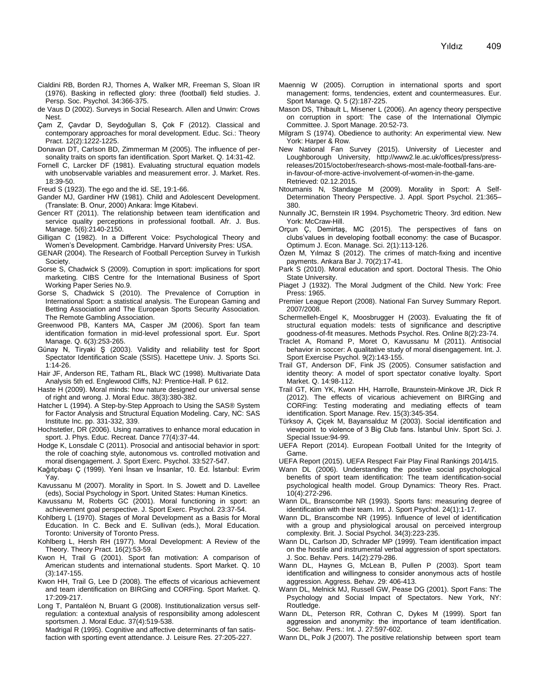- Cialdini RB, Borden RJ, Thornes A, Walker MR, Freeman S, Sloan IR (1976). Basking in reflected glory: three (football) field studies. J. Persp. Soc. Psychol. 34:366-375.
- de Vaus D (2002). Surveys in Social Research. Allen and Unwin: Crows Nest.
- Çam Z, Çavdar D, Seydoğulları S, Çok F (2012). Classical and contemporary approaches for moral development. Educ. Sci.: Theory Pract. 12(2):1222-1225.
- Donavan DT, Carlson BD, Zimmerman M (2005). The influence of personality traits on sports fan identification. Sport Market. Q. 14:31-42.
- Fornell C, Larcker DF (1981). Evaluating structural equation models with unobservable variables and measurement error. J. Market. Res. 18:39-50.

Freud S (1923). The ego and the id. SE, 19:1-66.

- Gander MJ, Gardiner HW (1981). Child and Adolescent Development. (Translate: B. Onur, 2000) Ankara: İmge Kitabevi.
- Gencer RT (2011). The relationship between team identification and service quality perceptions in professional football. Afr. J. Bus. Manage. 5(6):2140-2150.
- Gilligan C (1982). In a Different Voice: Psychological Theory and Women's Development. Cambridge. Harvard University Pres: USA.
- GENAR (2004). The Research of Football Perception Survey in Turkish Society.
- Gorse S, Chadwick S (2009). Corruption in sport: implications for sport marketing. CIBS Centre for the International Business of Sport Working Paper Series No.9.
- Gorse S, Chadwick S (2010). [The Prevalence of Corruption in](http://beach.benon.com/pdf_files/CIBS_Report.pdf)  [International Sport: a statistical analysis.](http://beach.benon.com/pdf_files/CIBS_Report.pdf) The European Gaming and Betting Association and The European Sports Security Association. The Remote Gambling Association.
- Greenwood PB, Kanters MA, Casper JM (2006). Sport fan team identification formation in mid-level professional sport. Eur. Sport Manage. Q. 6(3):253-265.
- Günay N, Tiryaki Ş (2003). Validity and reliability test for Sport Spectator Identification Scale (SSIS). Hacettepe Univ. J. Sports Sci. 1:14-26.
- Hair JF, Anderson RE, Tatham RL, Black WC (1998). Multivariate Data Analysis 5th ed. Englewood Cliffs, NJ: Prentice-Hall. P 612.
- Haste H (2009). Moral minds: how nature designed our universal sense of right and wrong. J. Moral Educ. 38(3):380-382.
- Hatcher L (1994). A Step-by-Step Approach to Using the SAS® System for Factor Analysis and Structural Equation Modeling. Cary, NC: SAS Institute Inc. pp. 331-332, 339.
- Hochstetler, DR (2006). Using narratives to enhance moral education in sport. J. Phys. Educ. Recreat. Dance 77(4):37-44.
- Hodge K, Lonsdale C (2011). Prosocial and antisocial behavior in sport: the role of coaching style, autonomous vs. controlled motivation and moral disengagement. J. Sport Exerc. Psychol. 33:527-547.
- Kağıtçıbaşı Ç (1999). Yeni İnsan ve İnsanlar, 10. Ed. İstanbul: Evrim Yay.
- Kavussanu M (2007). Morality in Sport. In S. Jowett and D. Lavellee (eds), Social Psychology in Sport. United States: Human Kinetics.
- Kavussanu M, Roberts GC (2001). Moral functioning in sport: an achievement goal perspective. J. Sport Exerc. Psychol. 23:37-54.
- Kohlberg L (1970). Stages of Moral Development as a Basis for Moral Education. In C. Beck and E. Sullivan (eds.), Moral Education. Toronto: University of Toronto Press.
- Kohlberg L, Hersh RH (1977). Moral Development: A Review of the Theory. Theory Pract. 16(2):53-59.
- Kwon H, Trail G (2001). [Sport fan motivation: A comparison of](https://scholar.google.com/citations?view_op=view_citation&hl=en&user=SraW1iYAAAAJ&citation_for_view=SraW1iYAAAAJ:Y0pCki6q_DkC)  [American students and international students.](https://scholar.google.com/citations?view_op=view_citation&hl=en&user=SraW1iYAAAAJ&citation_for_view=SraW1iYAAAAJ:Y0pCki6q_DkC) Sport Market. Q. 10 (3):147-155.
- [Kwon HH,](http://www.cabdirect.org/search.html?q=au%3A%22Kwon%2C+H.+H.%22) Trail G, Lee D (2008). The effects of vicarious achievement and team identification on BIRGing and CORFing. Sport Market. Q. 17:209-217.
- Long T, Pantaléon N, Bruant G (2008). Institutionalization versus self‐ regulation: a contextual analysis of responsibility among adolescent sportsmen. J. Moral Educ. 37(4):519-538.
	- Madrigal R (1995). Cognitive and affective determinants of fan satisfaction with sporting event attendance. J. Leisure Res. 27:205-227.
- Maennig W (2005). Corruption in international sports and sport management: forms, tendencies, extent and countermeasures. Eur. Sport Manage. Q. 5 (2):187-225.
- Mason DS, Thibault L, Misener L (2006). An agency theory perspective on corruption in sport: The case of the International Olympic Committee. J. Sport Manage. 20:52-73.
- Milgram S (1974). Obedience to authority: An experimental view. New York: Harper & Row.
- New National Fan Survey (2015). University of Liecester and Loughborough University, [http://www2.le.ac.uk/offices/press/press](http://www2.le.ac.uk/offices/press/press-releases/2015/october/research-shows-most-male-football-fans-are-in-favour-of-more-active-involvement-of-women-in-the-game)[releases/2015/october/research-shows-most-male-football-fans-are](http://www2.le.ac.uk/offices/press/press-releases/2015/october/research-shows-most-male-football-fans-are-in-favour-of-more-active-involvement-of-women-in-the-game)[in-favour-of-more-active-involvement-of-women-in-the-game.](http://www2.le.ac.uk/offices/press/press-releases/2015/october/research-shows-most-male-football-fans-are-in-favour-of-more-active-involvement-of-women-in-the-game) Retrieved: 02.12.2015.
- Ntoumanis N, Standage M (2009). Morality in Sport: A Self-Determination Theory Perspective. J. Appl. Sport Psychol. 21:365– 380.
- Nunnally JC, Bernstein IR 1994. Psychometric Theory. 3rd edition. New York: McCraw-Hill.
- Orçun Ç, Demirtaş, MC (2015). The perspectives of fans on clubs'values in developing football economy: the case of Bucaspor. Optimum J. Econ. Manage. Sci. 2(1):113-126.
- Özen M, Yılmaz S (2012). The crimes of match-fixing and incentive payments. Ankara Bar J. 70(2):17-41.
- Park S (2010). Moral education and sport. Doctoral Thesis. The Ohio State University.
- Piaget J (1932). The Moral Judgment of the Child. New York: Free Press: 1965.
- Premier League Report (2008). National Fan Survey Summary Report. 2007/2008.
- Schermelleh-Engel K, Moosbrugger H (2003). Evaluating the fit of structural equation models: tests of significance and descriptive goodness-of-fit measures. Methods Psychol. Res. Online 8(2):23-74.
- Traclet A, Romand P, Moret O, Kavussanu M (2011). Antisocial behavior in soccer: A qualitative study of moral disengagement. Int. J. Sport Exercise Psychol. 9(2):143-155.
- Trail GT, Anderson DF, Fink JS (2005). Consumer satisfaction and identity theory: A model of sport spectator conative loyalty. Sport Market. Q. 14:98-112.
- Trail GT, Kim YK, Kwon HH, Harrolle, Braunstein-Minkove JR, Dick R (2012). [The effects of vicarious achievement on BIRGing and](http://www.sciencedirect.com/science/article/pii/S1441352311000908)  [CORFing: Testing moderating and mediating effects of](http://www.sciencedirect.com/science/article/pii/S1441352311000908) team [identification.](http://www.sciencedirect.com/science/article/pii/S1441352311000908) Sport Manage. Rev. 15(3):345-354.
- Türksoy A, Çiçek M, Bayansalduz M (2003). Social identification and viewpoint to violence of 3 Big Club fans. İstanbul Univ. Sport Sci. J. Special Issue:94-99.
- UEFA Report (2014). European Football United for the Integrity of Game.
- UEFA Report (2015). UEFA Respect Fair Play Final Rankings 2014/15.
- Wann DL (2006). Understanding the positive social psychological benefits of sport team identification: The team identification-social psychological health model. Group Dynamics: Theory Res. Pract. 10(4):272-296.
- Wann DL, Branscombe NR (1993). Sports fans: measuring degree of identification with their team. Int. J. Sport Psychol. 24(1):1-17.
- Wann DL, Branscombe NR (1995). Influence of level of identification with a group and physiological arousal on perceived intergroup complexity. Brit. J. Social Psychol. 34(3):223-235.
- Wann DL, Carlson JD, Schrader MP (1999). Team identification impact on the hostile and instrumental verbal aggression of sport spectators. J. Soc. Behav. Pers. 14(2):279-286.
- Wann DL, Haynes G, McLean B, Pullen P (2003). Sport team identification and willingness to consider anonymous acts of hostile aggression. Aggress. Behav. 29: 406-413.
- Wann DL, Melnick MJ, Russell GW, Pease DG (2001). Sport Fans: The Psychology and Social Impact of Spectators. New York, NY: Routledge.
- Wann DL, Peterson RR, Cothran C, Dykes M (1999). Sport fan aggression and anonymity: the importance of team identification. Soc. Behav. Pers.: Int. J. 27:597-602.
- Wann DL, Polk J (2007). The positive relationship between sport team